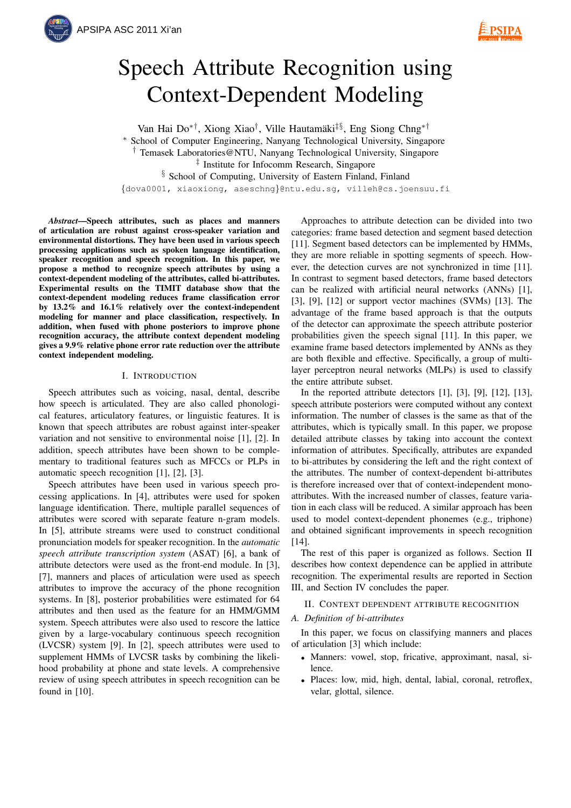

# Speech Attribute Recognition using Context-Dependent Modeling

Van Hai Do<sup>∗†</sup>, Xiong Xiao<sup>†</sup>, Ville Hautamäki<sup>‡§</sup>, Eng Siong Chng<sup>∗†</sup> School of Computer Engineering, Nanyang Technological University, Singapore † Temasek Laboratories@NTU, Nanyang Technological University, Singapore ‡ Institute for Infocomm Research, Singapore § School of Computing, University of Eastern Finland, Finland {dova0001, xiaoxiong, aseschng}@ntu.edu.sg, villeh@cs.joensuu.fi

*Abstract*—Speech attributes, such as places and manners of articulation are robust against cross-speaker variation and environmental distortions. They have been used in various speech processing applications such as spoken language identification, speaker recognition and speech recognition. In this paper, we propose a method to recognize speech attributes by using a context-dependent modeling of the attributes, called bi-attributes. Experimental results on the TIMIT database show that the context-dependent modeling reduces frame classification error by 13.2% and 16.1% relatively over the context-independent modeling for manner and place classification, respectively. In addition, when fused with phone posteriors to improve phone recognition accuracy, the attribute context dependent modeling gives a 9.9% relative phone error rate reduction over the attribute context independent modeling.

# I. INTRODUCTION

Speech attributes such as voicing, nasal, dental, describe how speech is articulated. They are also called phonological features, articulatory features, or linguistic features. It is known that speech attributes are robust against inter-speaker variation and not sensitive to environmental noise [1], [2]. In addition, speech attributes have been shown to be complementary to traditional features such as MFCCs or PLPs in automatic speech recognition [1], [2], [3].

Speech attributes have been used in various speech processing applications. In [4], attributes were used for spoken language identification. There, multiple parallel sequences of attributes were scored with separate feature n-gram models. In [5], attribute streams were used to construct conditional pronunciation models for speaker recognition. In the *automatic speech attribute transcription system* (ASAT) [6], a bank of attribute detectors were used as the front-end module. In [3], [7], manners and places of articulation were used as speech attributes to improve the accuracy of the phone recognition systems. In [8], posterior probabilities were estimated for 64 attributes and then used as the feature for an HMM/GMM system. Speech attributes were also used to rescore the lattice given by a large-vocabulary continuous speech recognition (LVCSR) system [9]. In [2], speech attributes were used to supplement HMMs of LVCSR tasks by combining the likelihood probability at phone and state levels. A comprehensive review of using speech attributes in speech recognition can be found in [10].

Approaches to attribute detection can be divided into two categories: frame based detection and segment based detection [11]. Segment based detectors can be implemented by HMMs, they are more reliable in spotting segments of speech. However, the detection curves are not synchronized in time [11]. In contrast to segment based detectors, frame based detectors can be realized with artificial neural networks (ANNs) [1], [3], [9], [12] or support vector machines (SVMs) [13]. The advantage of the frame based approach is that the outputs of the detector can approximate the speech attribute posterior probabilities given the speech signal [11]. In this paper, we examine frame based detectors implemented by ANNs as they are both flexible and effective. Specifically, a group of multilayer perceptron neural networks (MLPs) is used to classify the entire attribute subset.

In the reported attribute detectors [1], [3], [9], [12], [13], speech attribute posteriors were computed without any context information. The number of classes is the same as that of the attributes, which is typically small. In this paper, we propose detailed attribute classes by taking into account the context information of attributes. Specifically, attributes are expanded to bi-attributes by considering the left and the right context of the attributes. The number of context-dependent bi-attributes is therefore increased over that of context-independent monoattributes. With the increased number of classes, feature variation in each class will be reduced. A similar approach has been used to model context-dependent phonemes (e.g., triphone) and obtained significant improvements in speech recognition [14].

The rest of this paper is organized as follows. Section II describes how context dependence can be applied in attribute recognition. The experimental results are reported in Section III, and Section IV concludes the paper.

II. CONTEXT DEPENDENT ATTRIBUTE RECOGNITION

## *A. Definition of bi-attributes*

In this paper, we focus on classifying manners and places of articulation [3] which include:

- Manners: vowel, stop, fricative, approximant, nasal, silence.
- Places: low, mid, high, dental, labial, coronal, retroflex, velar, glottal, silence.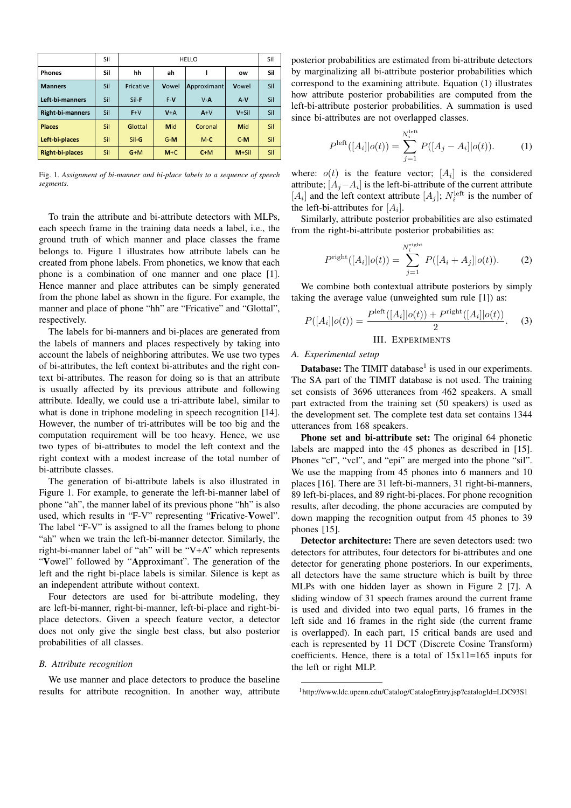|                        | Sil | <b>HELLO</b>     |            |             | Sil      |     |
|------------------------|-----|------------------|------------|-------------|----------|-----|
| <b>Phones</b>          | Sil | hh               | ah         |             | ow       | Sil |
| <b>Manners</b>         | Sil | <b>Fricative</b> | Vowel      | Approximant | Vowel    | Sil |
| Left-bi-manners        | Sil | Sil-F            | $F-V$      | $V - A$     | $A-V$    | Sil |
| Right-bi-manners       | Sil | $F+V$            | $V+A$      | $A+V$       | $V + Si$ | Sil |
| <b>Places</b>          | Sil | Glottal          | <b>Mid</b> | Coronal     | Mid      | Sil |
| Left-bi-places         | Sil | Sil-G            | $G-M$      | $M-C$       | $C-M$    | Sil |
| <b>Right-bi-places</b> | Sil | $G+M$            | $M + C$    | $C+M$       | $M+SiI$  | Sil |

Fig. 1. *Assignment of bi-manner and bi-place labels to a sequence of speech segments.*

To train the attribute and bi-attribute detectors with MLPs, each speech frame in the training data needs a label, i.e., the ground truth of which manner and place classes the frame belongs to. Figure 1 illustrates how attribute labels can be created from phone labels. From phonetics, we know that each phone is a combination of one manner and one place [1]. Hence manner and place attributes can be simply generated from the phone label as shown in the figure. For example, the manner and place of phone "hh" are "Fricative" and "Glottal", respectively.

The labels for bi-manners and bi-places are generated from the labels of manners and places respectively by taking into account the labels of neighboring attributes. We use two types of bi-attributes, the left context bi-attributes and the right context bi-attributes. The reason for doing so is that an attribute is usually affected by its previous attribute and following attribute. Ideally, we could use a tri-attribute label, similar to what is done in triphone modeling in speech recognition [14]. However, the number of tri-attributes will be too big and the computation requirement will be too heavy. Hence, we use two types of bi-attributes to model the left context and the right context with a modest increase of the total number of bi-attribute classes.

The generation of bi-attribute labels is also illustrated in Figure 1. For example, to generate the left-bi-manner label of phone "ah", the manner label of its previous phone "hh" is also used, which results in "F-V" representing "Fricative-Vowel". The label "F-V" is assigned to all the frames belong to phone "ah" when we train the left-bi-manner detector. Similarly, the right-bi-manner label of "ah" will be "V+A" which represents "Vowel" followed by "Approximant". The generation of the left and the right bi-place labels is similar. Silence is kept as an independent attribute without context.

Four detectors are used for bi-attribute modeling, they are left-bi-manner, right-bi-manner, left-bi-place and right-biplace detectors. Given a speech feature vector, a detector does not only give the single best class, but also posterior probabilities of all classes.

#### *B. Attribute recognition*

We use manner and place detectors to produce the baseline results for attribute recognition. In another way, attribute posterior probabilities are estimated from bi-attribute detectors by marginalizing all bi-attribute posterior probabilities which correspond to the examining attribute. Equation (1) illustrates how attribute posterior probabilities are computed from the left-bi-attribute posterior probabilities. A summation is used since bi-attributes are not overlapped classes.

$$
P^{\text{left}}([A_i]|o(t)) = \sum_{j=1}^{N_i^{\text{left}}} P([A_j - A_i]|o(t)).
$$
 (1)

where:  $o(t)$  is the feature vector;  $[A_i]$  is the considered attribute;  $[A_j - A_i]$  is the left-bi-attribute of the current attribute  $[A_i]$  and the left context attribute  $[A_j]$ ;  $N_i^{\text{left}}$  is the number of the left-bi-attributes for  $[A_i]$ .

Similarly, attribute posterior probabilities are also estimated from the right-bi-attribute posterior probabilities as:

$$
P^{\text{right}}([A_i]|o(t)) = \sum_{j=1}^{N_i^{\text{right}}} P([A_i + A_j]|o(t)).
$$
 (2)

We combine both contextual attribute posteriors by simply taking the average value (unweighted sum rule [1]) as:

$$
P([A_i]|o(t)) = \frac{P^{\text{left}}([A_i]|o(t)) + P^{\text{right}}([A_i]|o(t))}{2}.
$$
 (3)

III. EXPERIMENTS

# *A. Experimental setup*

**Database:** The TIMIT database<sup>1</sup> is used in our experiments. The SA part of the TIMIT database is not used. The training set consists of 3696 utterances from 462 speakers. A small part extracted from the training set (50 speakers) is used as the development set. The complete test data set contains 1344 utterances from 168 speakers.

Phone set and bi-attribute set: The original 64 phonetic labels are mapped into the 45 phones as described in [15]. Phones "cl", "vcl", and "epi" are merged into the phone "sil". We use the mapping from 45 phones into 6 manners and 10 places [16]. There are 31 left-bi-manners, 31 right-bi-manners, 89 left-bi-places, and 89 right-bi-places. For phone recognition results, after decoding, the phone accuracies are computed by down mapping the recognition output from 45 phones to 39 phones [15].

Detector architecture: There are seven detectors used: two detectors for attributes, four detectors for bi-attributes and one detector for generating phone posteriors. In our experiments, all detectors have the same structure which is built by three MLPs with one hidden layer as shown in Figure 2 [7]. A sliding window of 31 speech frames around the current frame is used and divided into two equal parts, 16 frames in the left side and 16 frames in the right side (the current frame is overlapped). In each part, 15 critical bands are used and each is represented by 11 DCT (Discrete Cosine Transform) coefficients. Hence, there is a total of 15x11=165 inputs for the left or right MLP.

<sup>1</sup>http://www.ldc.upenn.edu/Catalog/CatalogEntry.jsp?catalogId=LDC93S1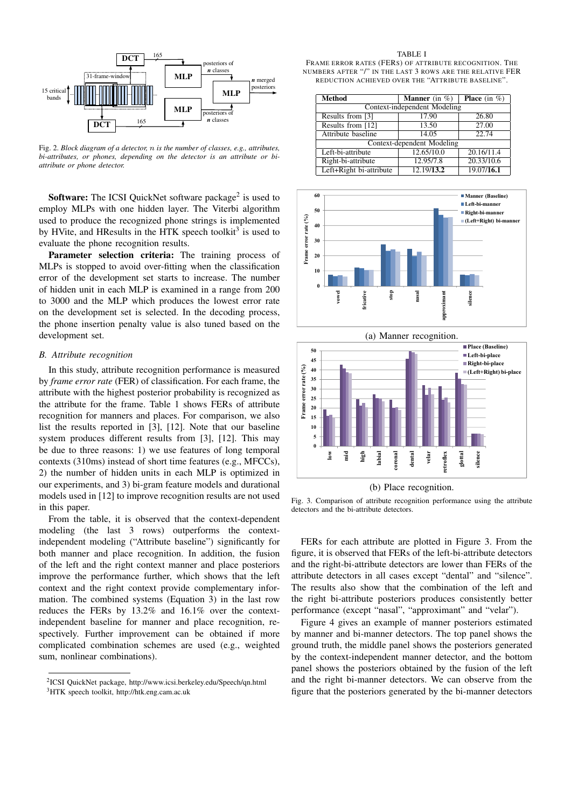

Fig. 2. *Block diagram of a detector,* n *is the number of classes, e.g., attributes, bi-attributes, or phones, depending on the detector is an attribute or biattribute or phone detector.*

**Software:** The ICSI QuickNet software package<sup>2</sup> is used to employ MLPs with one hidden layer. The Viterbi algorithm used to produce the recognized phone strings is implemented by HVite, and HResults in the HTK speech toolkit<sup>3</sup> is used to evaluate the phone recognition results.

Parameter selection criteria: The training process of MLPs is stopped to avoid over-fitting when the classification error of the development set starts to increase. The number of hidden unit in each MLP is examined in a range from 200 to 3000 and the MLP which produces the lowest error rate on the development set is selected. In the decoding process, the phone insertion penalty value is also tuned based on the development set.

# *B. Attribute recognition*

In this study, attribute recognition performance is measured by *frame error rate* (FER) of classification. For each frame, the attribute with the highest posterior probability is recognized as the attribute for the frame. Table 1 shows FERs of attribute recognition for manners and places. For comparison, we also list the results reported in [3], [12]. Note that our baseline system produces different results from [3], [12]. This may be due to three reasons: 1) we use features of long temporal contexts (310ms) instead of short time features (e.g., MFCCs), 2) the number of hidden units in each MLP is optimized in our experiments, and 3) bi-gram feature models and durational models used in [12] to improve recognition results are not used in this paper.

From the table, it is observed that the context-dependent modeling (the last 3 rows) outperforms the contextindependent modeling ("Attribute baseline") significantly for both manner and place recognition. In addition, the fusion of the left and the right context manner and place posteriors improve the performance further, which shows that the left context and the right context provide complementary information. The combined systems (Equation 3) in the last row reduces the FERs by 13.2% and 16.1% over the contextindependent baseline for manner and place recognition, respectively. Further improvement can be obtained if more complicated combination schemes are used (e.g., weighted sum, nonlinear combinations).

FRAME ERROR RATES (FERS) OF ATTRIBUTE RECOGNITION. THE NUMBERS AFTER "/" IN THE LAST 3 ROWS ARE THE RELATIVE FER REDUCTION ACHIEVED OVER THE "ATTRIBUTE BASELINE".

| <b>Method</b>                | <b>Manner</b> (in $\%$ ) | <b>Place</b> (in $\%$ ) |  |  |  |  |
|------------------------------|--------------------------|-------------------------|--|--|--|--|
| Context-independent Modeling |                          |                         |  |  |  |  |
| Results from [3]             | 17.90                    | 26.80                   |  |  |  |  |
| Results from [12]            | 13.50                    | 27.00                   |  |  |  |  |
| Attribute baseline           | 14.05                    | 22.74                   |  |  |  |  |
| Context-dependent Modeling   |                          |                         |  |  |  |  |
| Left-bi-attribute            | 12.65/10.0               | 20.16/11.4              |  |  |  |  |
| Right-bi-attribute           | 12.95/7.8                | 20.33/10.6              |  |  |  |  |
| Left+Right bi-attribute      | 12.19/13.2               | 19.07/16.1              |  |  |  |  |





(b) Place recognition.

Fig. 3. Comparison of attribute recognition performance using the attribute detectors and the bi-attribute detectors.

FERs for each attribute are plotted in Figure 3. From the figure, it is observed that FERs of the left-bi-attribute detectors and the right-bi-attribute detectors are lower than FERs of the attribute detectors in all cases except "dental" and "silence". The results also show that the combination of the left and the right bi-attribute posteriors produces consistently better performance (except "nasal", "approximant" and "velar").

Figure 4 gives an example of manner posteriors estimated by manner and bi-manner detectors. The top panel shows the ground truth, the middle panel shows the posteriors generated by the context-independent manner detector, and the bottom panel shows the posteriors obtained by the fusion of the left and the right bi-manner detectors. We can observe from the figure that the posteriors generated by the bi-manner detectors

<sup>2</sup> ICSI QuickNet package, http://www.icsi.berkeley.edu/Speech/qn.html <sup>3</sup>HTK speech toolkit, http://htk.eng.cam.ac.uk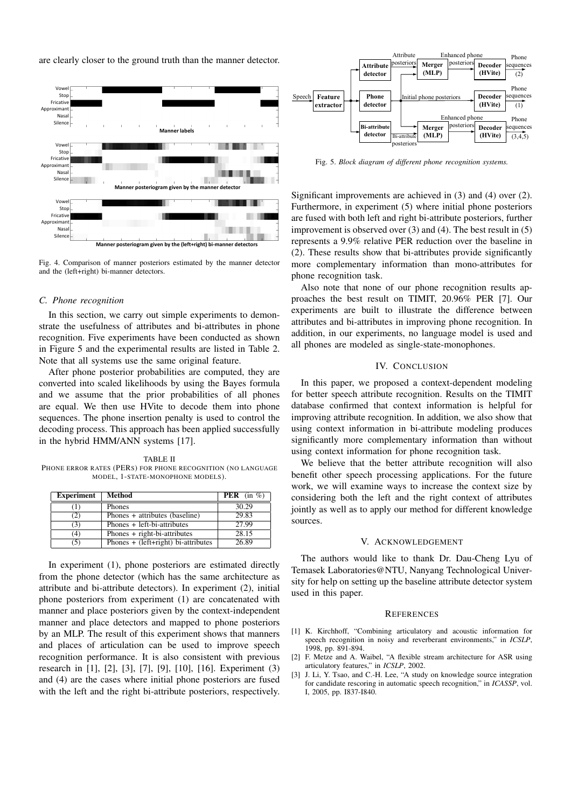are clearly closer to the ground truth than the manner detector.



Fig. 4. Comparison of manner posteriors estimated by the manner detector and the (left+right) bi-manner detectors.

### *C. Phone recognition*

In this section, we carry out simple experiments to demonstrate the usefulness of attributes and bi-attributes in phone recognition. Five experiments have been conducted as shown in Figure 5 and the experimental results are listed in Table 2. Note that all systems use the same original feature.

After phone posterior probabilities are computed, they are converted into scaled likelihoods by using the Bayes formula and we assume that the prior probabilities of all phones are equal. We then use HVite to decode them into phone sequences. The phone insertion penalty is used to control the decoding process. This approach has been applied successfully in the hybrid HMM/ANN systems [17].

TABLE II PHONE ERROR RATES (PERS) FOR PHONE RECOGNITION (NO LANGUAGE MODEL, 1-STATE-MONOPHONE MODELS).

| <b>Experiment</b> | Method                                | <b>PER</b> (in $\%$ ) |
|-------------------|---------------------------------------|-----------------------|
|                   | <b>Phones</b>                         | 30.29                 |
| 21                | Phones + attributes (baseline)        | 29.83                 |
| (3)               | Phones + left-bi-attributes           | 27.99                 |
| (4)               | Phones + right-bi-attributes          | 28.15                 |
| (S)               | Phones $+$ (left+right) bi-attributes | 26.89                 |

In experiment (1), phone posteriors are estimated directly from the phone detector (which has the same architecture as attribute and bi-attribute detectors). In experiment (2), initial phone posteriors from experiment (1) are concatenated with manner and place posteriors given by the context-independent manner and place detectors and mapped to phone posteriors by an MLP. The result of this experiment shows that manners and places of articulation can be used to improve speech recognition performance. It is also consistent with previous research in [1], [2], [3], [7], [9], [10], [16]. Experiment (3) and (4) are the cases where initial phone posteriors are fused with the left and the right bi-attribute posteriors, respectively.



Fig. 5. *Block diagram of different phone recognition systems.*

Significant improvements are achieved in (3) and (4) over (2). Furthermore, in experiment (5) where initial phone posteriors are fused with both left and right bi-attribute posteriors, further improvement is observed over (3) and (4). The best result in (5) represents a 9.9% relative PER reduction over the baseline in (2). These results show that bi-attributes provide significantly more complementary information than mono-attributes for phone recognition task.

Also note that none of our phone recognition results approaches the best result on TIMIT, 20.96% PER [7]. Our experiments are built to illustrate the difference between attributes and bi-attributes in improving phone recognition. In addition, in our experiments, no language model is used and all phones are modeled as single-state-monophones.

# IV. CONCLUSION

In this paper, we proposed a context-dependent modeling for better speech attribute recognition. Results on the TIMIT database confirmed that context information is helpful for improving attribute recognition. In addition, we also show that using context information in bi-attribute modeling produces significantly more complementary information than without using context information for phone recognition task.

We believe that the better attribute recognition will also benefit other speech processing applications. For the future work, we will examine ways to increase the context size by considering both the left and the right context of attributes jointly as well as to apply our method for different knowledge sources.

# V. ACKNOWLEDGEMENT

The authors would like to thank Dr. Dau-Cheng Lyu of Temasek Laboratories@NTU, Nanyang Technological University for help on setting up the baseline attribute detector system used in this paper.

#### **REFERENCES**

- [1] K. Kirchhoff, "Combining articulatory and acoustic information for speech recognition in noisy and reverberant environments," in *ICSLP*, 1998, pp. 891-894.
- [2] F. Metze and A. Waibel, "A flexible stream architecture for ASR using articulatory features," in *ICSLP*, 2002.
- [3] J. Li, Y. Tsao, and C.-H. Lee, "A study on knowledge source integration for candidate rescoring in automatic speech recognition," in *ICASSP*, vol. I, 2005, pp. I837-I840.